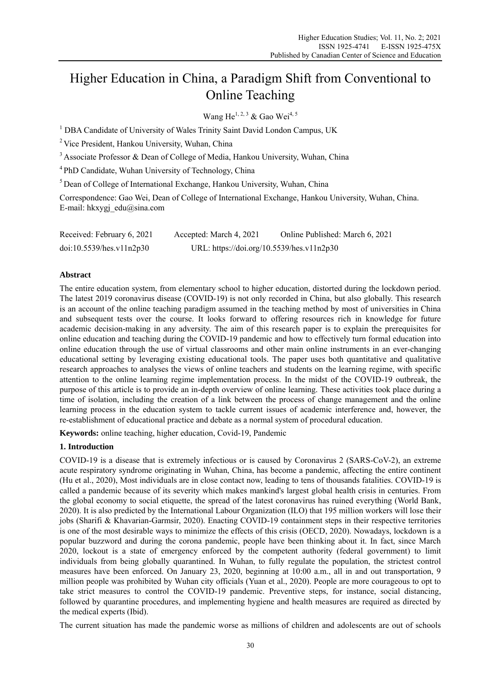# Higher Education in China, a Paradigm Shift from Conventional to Online Teaching

Wang He<sup>1, 2, 3</sup> & Gao Wei<sup>4, 5</sup>

<sup>1</sup> DBA Candidate of University of Wales Trinity Saint David London Campus, UK

<sup>2</sup> Vice President, Hankou University, Wuhan, China

<sup>3</sup> Associate Professor & Dean of College of Media, Hankou University, Wuhan, China

<sup>4</sup>PhD Candidate, Wuhan University of Technology, China

<sup>5</sup> Dean of College of International Exchange, Hankou University, Wuhan, China

Correspondence: Gao Wei, Dean of College of International Exchange, Hankou University, Wuhan, China. E-mail: hkxygj\_edu@sina.com

| Received: February 6, 2021 | Accepted: March 4, 2021                   | Online Published: March 6, 2021 |
|----------------------------|-------------------------------------------|---------------------------------|
| doi:10.5539/hes.v11n2p30   | URL: https://doi.org/10.5539/hes.v11n2p30 |                                 |

## **Abstract**

The entire education system, from elementary school to higher education, distorted during the lockdown period. The latest 2019 coronavirus disease (COVID-19) is not only recorded in China, but also globally. This research is an account of the online teaching paradigm assumed in the teaching method by most of universities in China and subsequent tests over the course. It looks forward to offering resources rich in knowledge for future academic decision-making in any adversity. The aim of this research paper is to explain the prerequisites for online education and teaching during the COVID-19 pandemic and how to effectively turn formal education into online education through the use of virtual classrooms and other main online instruments in an ever-changing educational setting by leveraging existing educational tools. The paper uses both quantitative and qualitative research approaches to analyses the views of online teachers and students on the learning regime, with specific attention to the online learning regime implementation process. In the midst of the COVID-19 outbreak, the purpose of this article is to provide an in-depth overview of online learning. These activities took place during a time of isolation, including the creation of a link between the process of change management and the online learning process in the education system to tackle current issues of academic interference and, however, the re-establishment of educational practice and debate as a normal system of procedural education.

**Keywords:** online teaching, higher education, Covid-19, Pandemic

# **1. Introduction**

COVID-19 is a disease that is extremely infectious or is caused by Coronavirus 2 (SARS-CoV-2), an extreme acute respiratory syndrome originating in Wuhan, China, has become a pandemic, affecting the entire continent (Hu et al., 2020), Most individuals are in close contact now, leading to tens of thousands fatalities. COVID-19 is called a pandemic because of its severity which makes mankind's largest global health crisis in centuries. From the global economy to social etiquette, the spread of the latest coronavirus has ruined everything (World Bank, 2020). It is also predicted by the International Labour Organization (ILO) that 195 million workers will lose their jobs (Sharifi & Khavarian-Garmsir, 2020). Enacting COVID-19 containment steps in their respective territories is one of the most desirable ways to minimize the effects of this crisis (OECD, 2020). Nowadays, lockdown is a popular buzzword and during the corona pandemic, people have been thinking about it. In fact, since March 2020, lockout is a state of emergency enforced by the competent authority (federal government) to limit individuals from being globally quarantined. In Wuhan, to fully regulate the population, the strictest control measures have been enforced. On January 23, 2020, beginning at 10:00 a.m., all in and out transportation, 9 million people was prohibited by Wuhan city officials (Yuan et al., 2020). People are more courageous to opt to take strict measures to control the COVID-19 pandemic. Preventive steps, for instance, social distancing, followed by quarantine procedures, and implementing hygiene and health measures are required as directed by the medical experts (Ibid).

The current situation has made the pandemic worse as millions of children and adolescents are out of schools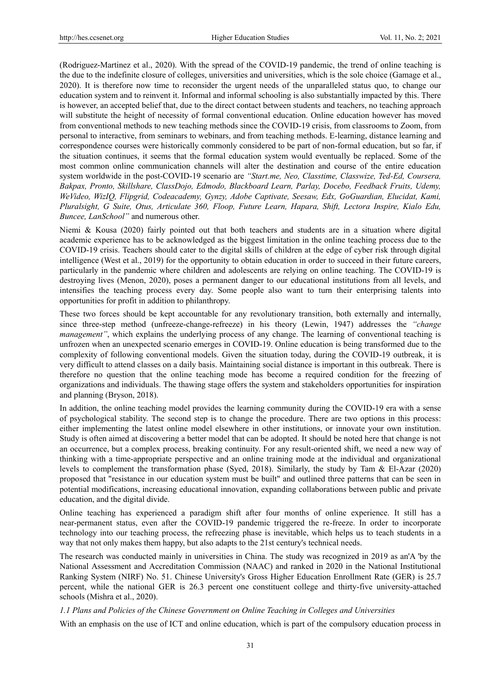(Rodriguez-Martinez et al., 2020). With the spread of the COVID-19 pandemic, the trend of online teaching is the due to the indefinite closure of colleges, universities and universities, which is the sole choice (Gamage et al., 2020). It is therefore now time to reconsider the urgent needs of the unparalleled status quo, to change our education system and to reinvent it. Informal and informal schooling is also substantially impacted by this. There is however, an accepted belief that, due to the direct contact between students and teachers, no teaching approach will substitute the height of necessity of formal conventional education. Online education however has moved from conventional methods to new teaching methods since the COVID-19 crisis, from classrooms to Zoom, from personal to interactive, from seminars to webinars, and from teaching methods. E-learning, distance learning and correspondence courses were historically commonly considered to be part of non-formal education, but so far, if the situation continues, it seems that the formal education system would eventually be replaced. Some of the most common online communication channels will alter the destination and course of the entire education system worldwide in the post-COVID-19 scenario are *"Start.me, Neo, Classtime, Classwize, Ted-Ed, Coursera, Bakpax, Pronto, Skillshare, ClassDojo, Edmodo, Blackboard Learn, Parlay, Docebo, Feedback Fruits, Udemy, WeVideo, WizIQ, Flipgrid, Codeacademy, Gynzy, Adobe Captivate, Seesaw, Edx, GoGuardian, Elucidat, Kami, Pluralsight, G Suite, Otus, Articulate 360, Floop, Future Learn, Hapara, Shift, Lectora Inspire, Kialo Edu, Buncee, LanSchool"* and numerous other.

Niemi & Kousa (2020) fairly pointed out that both teachers and students are in a situation where digital academic experience has to be acknowledged as the biggest limitation in the online teaching process due to the COVID-19 crisis. Teachers should cater to the digital skills of children at the edge of cyber risk through digital intelligence (West et al., 2019) for the opportunity to obtain education in order to succeed in their future careers, particularly in the pandemic where children and adolescents are relying on online teaching. The COVID-19 is destroying lives (Menon, 2020), poses a permanent danger to our educational institutions from all levels, and intensifies the teaching process every day. Some people also want to turn their enterprising talents into opportunities for profit in addition to philanthropy.

These two forces should be kept accountable for any revolutionary transition, both externally and internally, since three-step method (unfreeze-change-refreeze) in his theory (Lewin, 1947) addresses the *"change management"*, which explains the underlying process of any change. The learning of conventional teaching is unfrozen when an unexpected scenario emerges in COVID-19. Online education is being transformed due to the complexity of following conventional models. Given the situation today, during the COVID-19 outbreak, it is very difficult to attend classes on a daily basis. Maintaining social distance is important in this outbreak. There is therefore no question that the online teaching mode has become a required condition for the freezing of organizations and individuals. The thawing stage offers the system and stakeholders opportunities for inspiration and planning (Bryson, 2018).

In addition, the online teaching model provides the learning community during the COVID-19 era with a sense of psychological stability. The second step is to change the procedure. There are two options in this process: either implementing the latest online model elsewhere in other institutions, or innovate your own institution. Study is often aimed at discovering a better model that can be adopted. It should be noted here that change is not an occurrence, but a complex process, breaking continuity. For any result-oriented shift, we need a new way of thinking with a time-appropriate perspective and an online training mode at the individual and organizational levels to complement the transformation phase (Syed, 2018). Similarly, the study by Tam & El-Azar (2020) proposed that "resistance in our education system must be built" and outlined three patterns that can be seen in potential modifications, increasing educational innovation, expanding collaborations between public and private education, and the digital divide.

Online teaching has experienced a paradigm shift after four months of online experience. It still has a near-permanent status, even after the COVID-19 pandemic triggered the re-freeze. In order to incorporate technology into our teaching process, the refreezing phase is inevitable, which helps us to teach students in a way that not only makes them happy, but also adapts to the 21st century's technical needs.

The research was conducted mainly in universities in China. The study was recognized in 2019 as an'A 'by the National Assessment and Accreditation Commission (NAAC) and ranked in 2020 in the National Institutional Ranking System (NIRF) No. 51. Chinese University's Gross Higher Education Enrollment Rate (GER) is 25.7 percent, while the national GER is 26.3 percent one constituent college and thirty-five university-attached schools (Mishra et al., 2020).

## *1.1 Plans and Policies of the Chinese Government on Online Teaching in Colleges and Universities*

With an emphasis on the use of ICT and online education, which is part of the compulsory education process in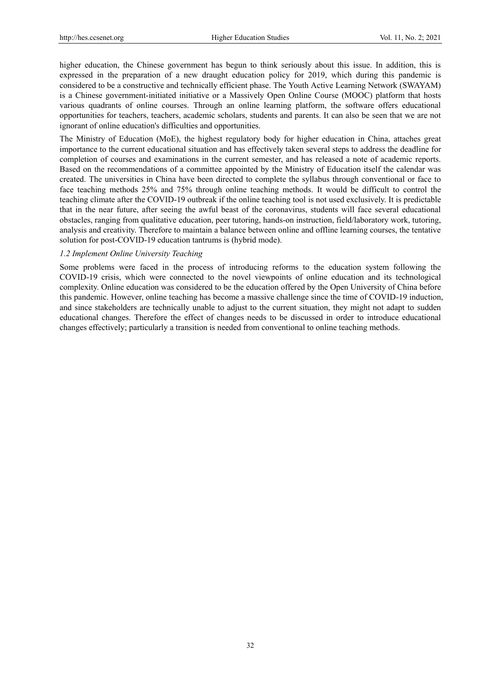higher education, the Chinese government has begun to think seriously about this issue. In addition, this is expressed in the preparation of a new draught education policy for 2019, which during this pandemic is considered to be a constructive and technically efficient phase. The Youth Active Learning Network (SWAYAM) is a Chinese government-initiated initiative or a Massively Open Online Course (MOOC) platform that hosts various quadrants of online courses. Through an online learning platform, the software offers educational opportunities for teachers, teachers, academic scholars, students and parents. It can also be seen that we are not ignorant of online education's difficulties and opportunities.

The Ministry of Education (MoE), the highest regulatory body for higher education in China, attaches great importance to the current educational situation and has effectively taken several steps to address the deadline for completion of courses and examinations in the current semester, and has released a note of academic reports. Based on the recommendations of a committee appointed by the Ministry of Education itself the calendar was created. The universities in China have been directed to complete the syllabus through conventional or face to face teaching methods 25% and 75% through online teaching methods. It would be difficult to control the teaching climate after the COVID-19 outbreak if the online teaching tool is not used exclusively. It is predictable that in the near future, after seeing the awful beast of the coronavirus, students will face several educational obstacles, ranging from qualitative education, peer tutoring, hands-on instruction, field/laboratory work, tutoring, analysis and creativity. Therefore to maintain a balance between online and offline learning courses, the tentative solution for post-COVID-19 education tantrums is (hybrid mode).

## *1.2 Implement Online University Teaching*

Some problems were faced in the process of introducing reforms to the education system following the COVID-19 crisis, which were connected to the novel viewpoints of online education and its technological complexity. Online education was considered to be the education offered by the Open University of China before this pandemic. However, online teaching has become a massive challenge since the time of COVID-19 induction, and since stakeholders are technically unable to adjust to the current situation, they might not adapt to sudden educational changes. Therefore the effect of changes needs to be discussed in order to introduce educational changes effectively; particularly a transition is needed from conventional to online teaching methods.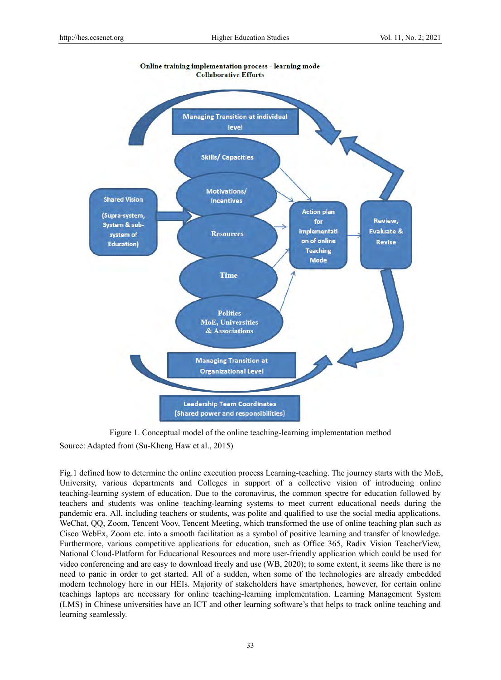

Figure 1. Conceptual model of the online teaching-learning implementation method Source: Adapted from (Su-Kheng Haw et al., 2015)

Fig.1 defined how to determine the online execution process Learning-teaching. The journey starts with the MoE, University, various departments and Colleges in support of a collective vision of introducing online teaching-learning system of education. Due to the coronavirus, the common spectre for education followed by teachers and students was online teaching-learning systems to meet current educational needs during the pandemic era. All, including teachers or students, was polite and qualified to use the social media applications. WeChat, QQ, Zoom, Tencent Voov, Tencent Meeting, which transformed the use of online teaching plan such as Cisco WebEx, Zoom etc. into a smooth facilitation as a symbol of positive learning and transfer of knowledge. Furthermore, various competitive applications for education, such as Office 365, Radix Vision TeacherView, National Cloud-Platform for Educational Resources and more user-friendly application which could be used for video conferencing and are easy to download freely and use (WB, 2020); to some extent, it seems like there is no need to panic in order to get started. All of a sudden, when some of the technologies are already embedded modern technology here in our HEIs. Majority of stakeholders have smartphones, however, for certain online teachings laptops are necessary for online teaching-learning implementation. Learning Management System (LMS) in Chinese universities have an ICT and other learning software's that helps to track online teaching and learning seamlessly.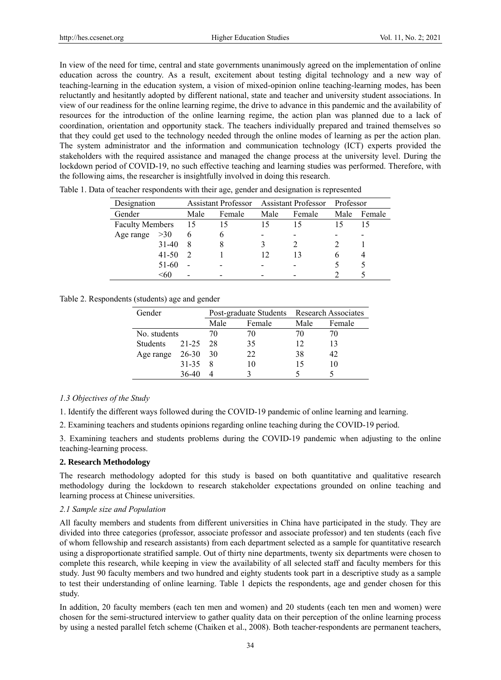In view of the need for time, central and state governments unanimously agreed on the implementation of online education across the country. As a result, excitement about testing digital technology and a new way of teaching-learning in the education system, a vision of mixed-opinion online teaching-learning modes, has been reluctantly and hesitantly adopted by different national, state and teacher and university student associations. In view of our readiness for the online learning regime, the drive to advance in this pandemic and the availability of resources for the introduction of the online learning regime, the action plan was planned due to a lack of coordination, orientation and opportunity stack. The teachers individually prepared and trained themselves so that they could get used to the technology needed through the online modes of learning as per the action plan. The system administrator and the information and communication technology (ICT) experts provided the stakeholders with the required assistance and managed the change process at the university level. During the lockdown period of COVID-19, no such effective teaching and learning studies was performed. Therefore, with the following aims, the researcher is insightfully involved in doing this research.

| Designation            |      | <b>Assistant Professor</b> |      | <b>Assistant Professor</b> | Professor |        |
|------------------------|------|----------------------------|------|----------------------------|-----------|--------|
| Gender                 | Male | Female                     | Male | Female                     | Male      | Female |
| <b>Faculty Members</b> | - 15 | 15                         |      | 15                         |           |        |
| >30<br>Age range       | 6    | n                          |      |                            |           |        |
| $31 - 40$              |      |                            |      |                            |           |        |
| $41 - 50$              |      |                            |      | 13                         |           |        |
| 51-60                  |      |                            |      |                            |           |        |
| <60                    |      |                            |      |                            |           |        |

Table 1. Data of teacher respondents with their age, gender and designation is represented

## Table 2. Respondents (students) age and gender

| Gender          |           | Post-graduate Students |        | <b>Research Associates</b> |        |
|-----------------|-----------|------------------------|--------|----------------------------|--------|
|                 |           | Male                   | Female | Male                       | Female |
| No. students    |           | 70                     | 70     | 70                         | 70     |
| <b>Students</b> | 21-25     | 28                     | 35     | 12                         | 13     |
| Age range       | 26-30 30  |                        | 22     | 38                         | 42     |
|                 | $31 - 35$ | 8                      | 10     | 15                         | 10     |
|                 | 36-40     |                        |        |                            |        |

## *1.3 Objectives of the Study*

1. Identify the different ways followed during the COVID-19 pandemic of online learning and learning.

2. Examining teachers and students opinions regarding online teaching during the COVID-19 period.

3. Examining teachers and students problems during the COVID-19 pandemic when adjusting to the online teaching-learning process.

## **2. Research Methodology**

The research methodology adopted for this study is based on both quantitative and qualitative research methodology during the lockdown to research stakeholder expectations grounded on online teaching and learning process at Chinese universities.

## *2.1 Sample size and Population*

All faculty members and students from different universities in China have participated in the study. They are divided into three categories (professor, associate professor and associate professor) and ten students (each five of whom fellowship and research assistants) from each department selected as a sample for quantitative research using a disproportionate stratified sample. Out of thirty nine departments, twenty six departments were chosen to complete this research, while keeping in view the availability of all selected staff and faculty members for this study. Just 90 faculty members and two hundred and eighty students took part in a descriptive study as a sample to test their understanding of online learning. Table 1 depicts the respondents, age and gender chosen for this study.

In addition, 20 faculty members (each ten men and women) and 20 students (each ten men and women) were chosen for the semi-structured interview to gather quality data on their perception of the online learning process by using a nested parallel fetch scheme (Chaiken et al., 2008). Both teacher-respondents are permanent teachers,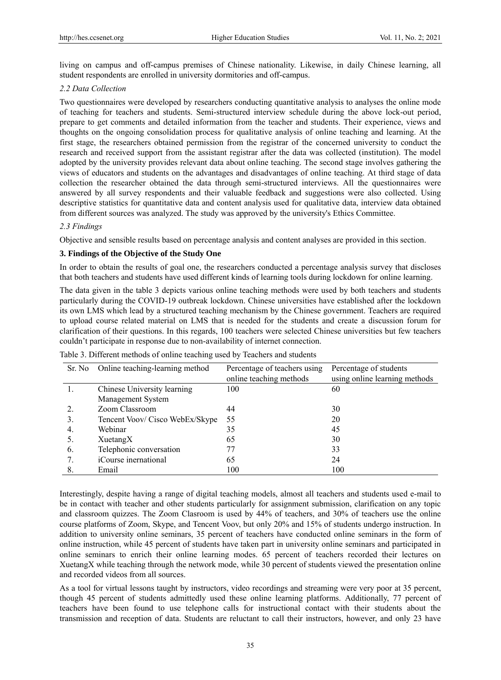living on campus and off-campus premises of Chinese nationality. Likewise, in daily Chinese learning, all student respondents are enrolled in university dormitories and off-campus.

## *2.2 Data Collection*

Two questionnaires were developed by researchers conducting quantitative analysis to analyses the online mode of teaching for teachers and students. Semi-structured interview schedule during the above lock-out period, prepare to get comments and detailed information from the teacher and students. Their experience, views and thoughts on the ongoing consolidation process for qualitative analysis of online teaching and learning. At the first stage, the researchers obtained permission from the registrar of the concerned university to conduct the research and received support from the assistant registrar after the data was collected (institution). The model adopted by the university provides relevant data about online teaching. The second stage involves gathering the views of educators and students on the advantages and disadvantages of online teaching. At third stage of data collection the researcher obtained the data through semi-structured interviews. All the questionnaires were answered by all survey respondents and their valuable feedback and suggestions were also collected. Using descriptive statistics for quantitative data and content analysis used for qualitative data, interview data obtained from different sources was analyzed. The study was approved by the university's Ethics Committee.

## *2.3 Findings*

Objective and sensible results based on percentage analysis and content analyses are provided in this section.

## **3. Findings of the Objective of the Study One**

In order to obtain the results of goal one, the researchers conducted a percentage analysis survey that discloses that both teachers and students have used different kinds of learning tools during lockdown for online learning.

The data given in the table 3 depicts various online teaching methods were used by both teachers and students particularly during the COVID-19 outbreak lockdown. Chinese universities have established after the lockdown its own LMS which lead by a structured teaching mechanism by the Chinese government. Teachers are required to upload course related material on LMS that is needed for the students and create a discussion forum for clarification of their questions. In this regards, 100 teachers were selected Chinese universities but few teachers couldn't participate in response due to non-availability of internet connection.

| Sr. No | Online teaching-learning method | Percentage of teachers using<br>online teaching methods | Percentage of students<br>using online learning methods |
|--------|---------------------------------|---------------------------------------------------------|---------------------------------------------------------|
|        | Chinese University learning     | 100                                                     | 60                                                      |
|        | Management System               |                                                         |                                                         |
|        | Zoom Classroom                  | 44                                                      | 30                                                      |
| 3.     | Tencent Voov/ Cisco WebEx/Skype | 55                                                      | 20                                                      |
| 4.     | Webinar                         | 35                                                      | 45                                                      |
| 5.     | XuetangX                        | 65                                                      | 30                                                      |
| 6.     | Telephonic conversation         | 77                                                      | 33                                                      |
|        | iCourse inernational            | 65                                                      | 24                                                      |
| 8      | Email                           | 100                                                     | 100                                                     |

Table 3. Different methods of online teaching used by Teachers and students

Interestingly, despite having a range of digital teaching models, almost all teachers and students used e-mail to be in contact with teacher and other students particularly for assignment submission, clarification on any topic and classroom quizzes. The Zoom Clasroom is used by 44% of teachers, and 30% of teachers use the online course platforms of Zoom, Skype, and Tencent Voov, but only 20% and 15% of students undergo instruction. In addition to university online seminars, 35 percent of teachers have conducted online seminars in the form of online instruction, while 45 percent of students have taken part in university online seminars and participated in online seminars to enrich their online learning modes. 65 percent of teachers recorded their lectures on XuetangX while teaching through the network mode, while 30 percent of students viewed the presentation online and recorded videos from all sources.

As a tool for virtual lessons taught by instructors, video recordings and streaming were very poor at 35 percent, though 45 percent of students admittedly used these online learning platforms. Additionally, 77 percent of teachers have been found to use telephone calls for instructional contact with their students about the transmission and reception of data. Students are reluctant to call their instructors, however, and only 23 have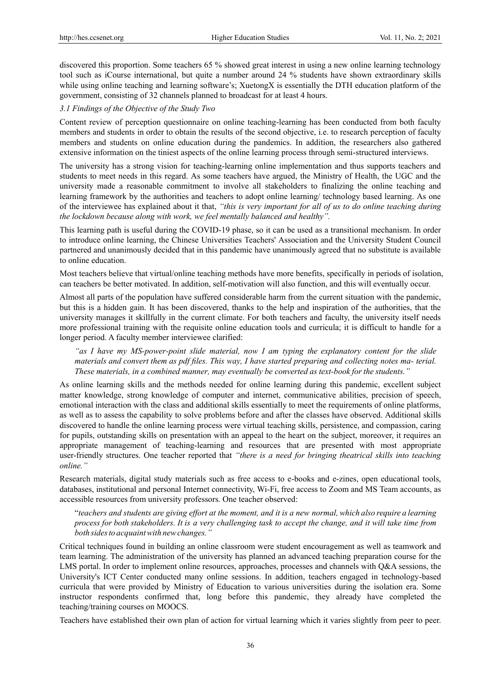discovered this proportion. Some teachers 65 % showed great interest in using a new online learning technology tool such as iCourse international, but quite a number around 24 % students have shown extraordinary skills while using online teaching and learning software's; XuetongX is essentially the DTH education platform of the government, consisting of 32 channels planned to broadcast for at least 4 hours.

## *3.1 Findings of the Objective of the Study Two*

Content review of perception questionnaire on online teaching-learning has been conducted from both faculty members and students in order to obtain the results of the second objective, i.e. to research perception of faculty members and students on online education during the pandemics. In addition, the researchers also gathered extensive information on the tiniest aspects of the online learning process through semi-structured interviews.

The university has a strong vision for teaching-learning online implementation and thus supports teachers and students to meet needs in this regard. As some teachers have argued, the Ministry of Health, the UGC and the university made a reasonable commitment to involve all stakeholders to finalizing the online teaching and learning framework by the authorities and teachers to adopt online learning/ technology based learning. As one of the interviewee has explained about it that, *"this is very important for all of us to do online teaching during the lockdown because along with work, we feel mentally balanced and healthy".*

This learning path is useful during the COVID-19 phase, so it can be used as a transitional mechanism. In order to introduce online learning, the Chinese Universities Teachers' Association and the University Student Council partnered and unanimously decided that in this pandemic have unanimously agreed that no substitute is available to online education.

Most teachers believe that virtual/online teaching methods have more benefits, specifically in periods of isolation, can teachers be better motivated. In addition, self-motivation will also function, and this will eventually occur.

Almost all parts of the population have suffered considerable harm from the current situation with the pandemic, but this is a hidden gain. It has been discovered, thanks to the help and inspiration of the authorities, that the university manages it skillfully in the current climate. For both teachers and faculty, the university itself needs more professional training with the requisite online education tools and curricula; it is difficult to handle for a longer period. A faculty member interviewee clarified:

*"as I have my MS-power-point slide material, now I am typing the explanatory content for the slide materials and convert them as pdf files. This way, I have started preparing and collecting notes ma- terial. These materials, in a combined manner, may eventually be converted as text-book for the students."* 

As online learning skills and the methods needed for online learning during this pandemic, excellent subject matter knowledge, strong knowledge of computer and internet, communicative abilities, precision of speech, emotional interaction with the class and additional skills essentially to meet the requirements of online platforms, as well as to assess the capability to solve problems before and after the classes have observed. Additional skills discovered to handle the online learning process were virtual teaching skills, persistence, and compassion, caring for pupils, outstanding skills on presentation with an appeal to the heart on the subject, moreover, it requires an appropriate management of teaching-learning and resources that are presented with most appropriate user-friendly structures. One teacher reported that *"there is a need for bringing theatrical skills into teaching online."* 

Research materials, digital study materials such as free access to e-books and e-zines, open educational tools, databases, institutional and personal Internet connectivity, Wi-Fi, free access to Zoom and MS Team accounts, as accessible resources from university professors. One teacher observed:

"teachers and students are giving effort at the moment, and it is a new normal, which also require a learning process for both stakeholders. It is a very challenging task to accept the change, and it will take time from *both sidesto acquaintwith newchanges."*

Critical techniques found in building an online classroom were student encouragement as well as teamwork and team learning. The administration of the university has planned an advanced teaching preparation course for the LMS portal. In order to implement online resources, approaches, processes and channels with Q&A sessions, the University's ICT Center conducted many online sessions. In addition, teachers engaged in technology-based curricula that were provided by Ministry of Education to various universities during the isolation era. Some instructor respondents confirmed that, long before this pandemic, they already have completed the teaching/training courses on MOOCS.

Teachers have established their own plan of action for virtual learning which it varies slightly from peer to peer.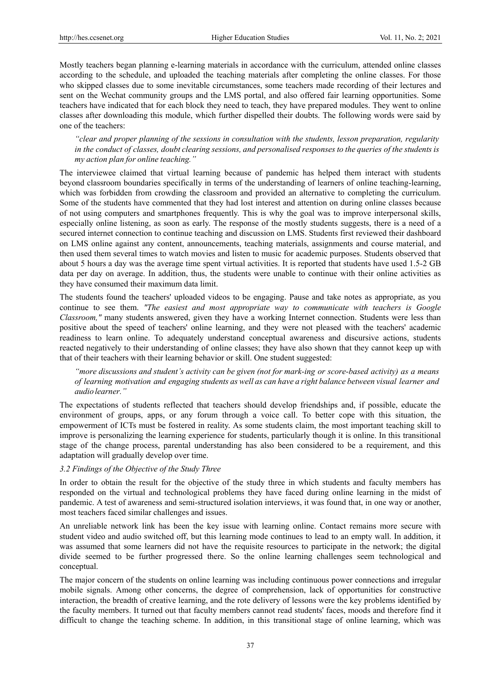Mostly teachers began planning e-learning materials in accordance with the curriculum, attended online classes according to the schedule, and uploaded the teaching materials after completing the online classes. For those who skipped classes due to some inevitable circumstances, some teachers made recording of their lectures and sent on the Wechat community groups and the LMS portal, and also offered fair learning opportunities. Some teachers have indicated that for each block they need to teach, they have prepared modules. They went to online classes after downloading this module, which further dispelled their doubts. The following words were said by one of the teachers:

*"clear and proper planning of the sessions in consultation with the students, lesson preparation, regularity in the conduct of classes, doubt clearing sessions, and personalised responses to the queries of the students is my action plan for online teaching."* 

The interviewee claimed that virtual learning because of pandemic has helped them interact with students beyond classroom boundaries specifically in terms of the understanding of learners of online teaching-learning, which was forbidden from crowding the classroom and provided an alternative to completing the curriculum. Some of the students have commented that they had lost interest and attention on during online classes because of not using computers and smartphones frequently. This is why the goal was to improve interpersonal skills, especially online listening, as soon as early. The response of the mostly students suggests, there is a need of a secured internet connection to continue teaching and discussion on LMS. Students first reviewed their dashboard on LMS online against any content, announcements, teaching materials, assignments and course material, and then used them several times to watch movies and listen to music for academic purposes. Students observed that about 5 hours a day was the average time spent virtual activities. It is reported that students have used 1.5-2 GB data per day on average. In addition, thus, the students were unable to continue with their online activities as they have consumed their maximum data limit.

The students found the teachers' uploaded videos to be engaging. Pause and take notes as appropriate, as you continue to see them. *"The easiest and most appropriate way to communicate with teachers is Google Classroom,"* many students answered, given they have a working Internet connection. Students were less than positive about the speed of teachers' online learning, and they were not pleased with the teachers' academic readiness to learn online. To adequately understand conceptual awareness and discursive actions, students reacted negatively to their understanding of online classes; they have also shown that they cannot keep up with that of their teachers with their learning behavior or skill. One student suggested:

*"more discussions and student's activity can be given (not for mark-ing or score-based activity) as a means of learning motivation and engaging students as well as can have a right balance between visual learner and audio learner."* 

The expectations of students reflected that teachers should develop friendships and, if possible, educate the environment of groups, apps, or any forum through a voice call. To better cope with this situation, the empowerment of ICTs must be fostered in reality. As some students claim, the most important teaching skill to improve is personalizing the learning experience for students, particularly though it is online. In this transitional stage of the change process, parental understanding has also been considered to be a requirement, and this adaptation will gradually develop over time.

## *3.2 Findings of the Objective of the Study Three*

In order to obtain the result for the objective of the study three in which students and faculty members has responded on the virtual and technological problems they have faced during online learning in the midst of pandemic. A test of awareness and semi-structured isolation interviews, it was found that, in one way or another, most teachers faced similar challenges and issues.

An unreliable network link has been the key issue with learning online. Contact remains more secure with student video and audio switched off, but this learning mode continues to lead to an empty wall. In addition, it was assumed that some learners did not have the requisite resources to participate in the network; the digital divide seemed to be further progressed there. So the online learning challenges seem technological and conceptual.

The major concern of the students on online learning was including continuous power connections and irregular mobile signals. Among other concerns, the degree of comprehension, lack of opportunities for constructive interaction, the breadth of creative learning, and the rote delivery of lessons were the key problems identified by the faculty members. It turned out that faculty members cannot read students' faces, moods and therefore find it difficult to change the teaching scheme. In addition, in this transitional stage of online learning, which was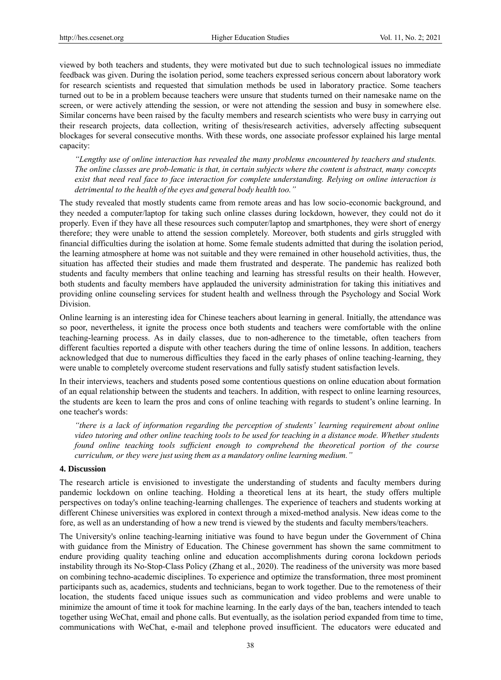viewed by both teachers and students, they were motivated but due to such technological issues no immediate feedback was given. During the isolation period, some teachers expressed serious concern about laboratory work for research scientists and requested that simulation methods be used in laboratory practice. Some teachers turned out to be in a problem because teachers were unsure that students turned on their namesake name on the screen, or were actively attending the session, or were not attending the session and busy in somewhere else. Similar concerns have been raised by the faculty members and research scientists who were busy in carrying out their research projects, data collection, writing of thesis/research activities, adversely affecting subsequent blockages for several consecutive months. With these words, one associate professor explained his large mental capacity:

*"Lengthy use of online interaction has revealed the many problems encountered by teachers and students. The online classes are prob-lematic is that, in certain subjects where the content is abstract, many concepts exist that need real face to face interaction for complete understanding. Relying on online interaction is detrimental to the health of the eyes and general body health too."* 

The study revealed that mostly students came from remote areas and has low socio-economic background, and they needed a computer/laptop for taking such online classes during lockdown, however, they could not do it properly. Even if they have all these resources such computer/laptop and smartphones, they were short of energy therefore; they were unable to attend the session completely. Moreover, both students and girls struggled with financial difficulties during the isolation at home. Some female students admitted that during the isolation period, the learning atmosphere at home was not suitable and they were remained in other household activities, thus, the situation has affected their studies and made them frustrated and desperate. The pandemic has realized both students and faculty members that online teaching and learning has stressful results on their health. However, both students and faculty members have applauded the university administration for taking this initiatives and providing online counseling services for student health and wellness through the Psychology and Social Work Division.

Online learning is an interesting idea for Chinese teachers about learning in general. Initially, the attendance was so poor, nevertheless, it ignite the process once both students and teachers were comfortable with the online teaching-learning process. As in daily classes, due to non-adherence to the timetable, often teachers from different faculties reported a dispute with other teachers during the time of online lessons. In addition, teachers acknowledged that due to numerous difficulties they faced in the early phases of online teaching-learning, they were unable to completely overcome student reservations and fully satisfy student satisfaction levels.

In their interviews, teachers and students posed some contentious questions on online education about formation of an equal relationship between the students and teachers. In addition, with respect to online learning resources, the students are keen to learn the pros and cons of online teaching with regards to student's online learning. In one teacher's words:

*"there is a lack of information regarding the perception of students' learning requirement about online video tutoring and other online teaching tools to be used for teaching in a distance mode. Whether students found online teaching tools sufficient enough to comprehend the theoretical portion of the course curriculum, or they were just using them as a mandatory online learning medium."* 

#### **4. Discussion**

The research article is envisioned to investigate the understanding of students and faculty members during pandemic lockdown on online teaching. Holding a theoretical lens at its heart, the study offers multiple perspectives on today's online teaching-learning challenges. The experience of teachers and students working at different Chinese universities was explored in context through a mixed-method analysis. New ideas come to the fore, as well as an understanding of how a new trend is viewed by the students and faculty members/teachers.

The University's online teaching-learning initiative was found to have begun under the Government of China with guidance from the Ministry of Education. The Chinese government has shown the same commitment to endure providing quality teaching online and education accomplishments during corona lockdown periods instability through its No-Stop-Class Policy (Zhang et al., 2020). The readiness of the university was more based on combining techno-academic disciplines. To experience and optimize the transformation, three most prominent participants such as, academics, students and technicians, began to work together. Due to the remoteness of their location, the students faced unique issues such as communication and video problems and were unable to minimize the amount of time it took for machine learning. In the early days of the ban, teachers intended to teach together using WeChat, email and phone calls. But eventually, as the isolation period expanded from time to time, communications with WeChat, e-mail and telephone proved insufficient. The educators were educated and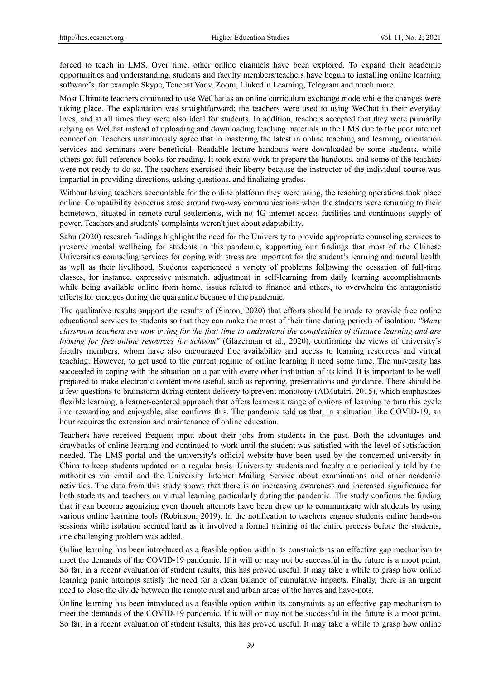forced to teach in LMS. Over time, other online channels have been explored. To expand their academic opportunities and understanding, students and faculty members/teachers have begun to installing online learning software's, for example Skype, Tencent Voov, Zoom, LinkedIn Learning, Telegram and much more.

Most Ultimate teachers continued to use WeChat as an online curriculum exchange mode while the changes were taking place. The explanation was straightforward: the teachers were used to using WeChat in their everyday lives, and at all times they were also ideal for students. In addition, teachers accepted that they were primarily relying on WeChat instead of uploading and downloading teaching materials in the LMS due to the poor internet connection. Teachers unanimously agree that in mastering the latest in online teaching and learning, orientation services and seminars were beneficial. Readable lecture handouts were downloaded by some students, while others got full reference books for reading. It took extra work to prepare the handouts, and some of the teachers were not ready to do so. The teachers exercised their liberty because the instructor of the individual course was impartial in providing directions, asking questions, and finalizing grades.

Without having teachers accountable for the online platform they were using, the teaching operations took place online. Compatibility concerns arose around two-way communications when the students were returning to their hometown, situated in remote rural settlements, with no 4G internet access facilities and continuous supply of power. Teachers and students' complaints weren't just about adaptability.

Sahu (2020) research findings highlight the need for the University to provide appropriate counseling services to preserve mental wellbeing for students in this pandemic, supporting our findings that most of the Chinese Universities counseling services for coping with stress are important for the student's learning and mental health as well as their livelihood. Students experienced a variety of problems following the cessation of full-time classes, for instance, expressive mismatch, adjustment in self-learning from daily learning accomplishments while being available online from home, issues related to finance and others, to overwhelm the antagonistic effects for emerges during the quarantine because of the pandemic.

The qualitative results support the results of (Simon, 2020) that efforts should be made to provide free online educational services to students so that they can make the most of their time during periods of isolation. *"Many classroom teachers are now trying for the first time to understand the complexities of distance learning and are looking for free online resources for schools"* (Glazerman et al., 2020), confirming the views of university's faculty members, whom have also encouraged free availability and access to learning resources and virtual teaching. However, to get used to the current regime of online learning it need some time. The university has succeeded in coping with the situation on a par with every other institution of its kind. It is important to be well prepared to make electronic content more useful, such as reporting, presentations and guidance. There should be a few questions to brainstorm during content delivery to prevent monotony (AlMutairi, 2015), which emphasizes flexible learning, a learner-centered approach that offers learners a range of options of learning to turn this cycle into rewarding and enjoyable, also confirms this. The pandemic told us that, in a situation like COVID-19, an hour requires the extension and maintenance of online education.

Teachers have received frequent input about their jobs from students in the past. Both the advantages and drawbacks of online learning and continued to work until the student was satisfied with the level of satisfaction needed. The LMS portal and the university's official website have been used by the concerned university in China to keep students updated on a regular basis. University students and faculty are periodically told by the authorities via email and the University Internet Mailing Service about examinations and other academic activities. The data from this study shows that there is an increasing awareness and increased significance for both students and teachers on virtual learning particularly during the pandemic. The study confirms the finding that it can become agonizing even though attempts have been drew up to communicate with students by using various online learning tools (Robinson, 2019). In the notification to teachers engage students online hands-on sessions while isolation seemed hard as it involved a formal training of the entire process before the students, one challenging problem was added.

Online learning has been introduced as a feasible option within its constraints as an effective gap mechanism to meet the demands of the COVID-19 pandemic. If it will or may not be successful in the future is a moot point. So far, in a recent evaluation of student results, this has proved useful. It may take a while to grasp how online learning panic attempts satisfy the need for a clean balance of cumulative impacts. Finally, there is an urgent need to close the divide between the remote rural and urban areas of the haves and have-nots.

Online learning has been introduced as a feasible option within its constraints as an effective gap mechanism to meet the demands of the COVID-19 pandemic. If it will or may not be successful in the future is a moot point. So far, in a recent evaluation of student results, this has proved useful. It may take a while to grasp how online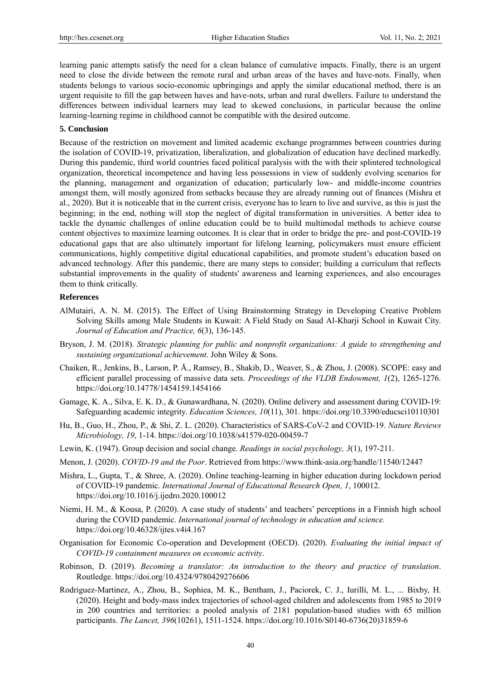learning panic attempts satisfy the need for a clean balance of cumulative impacts. Finally, there is an urgent need to close the divide between the remote rural and urban areas of the haves and have-nots. Finally, when students belongs to various socio-economic upbringings and apply the similar educational method, there is an urgent requisite to fill the gap between haves and have-nots, urban and rural dwellers. Failure to understand the differences between individual learners may lead to skewed conclusions, in particular because the online learning-learning regime in childhood cannot be compatible with the desired outcome.

## **5. Conclusion**

Because of the restriction on movement and limited academic exchange programmes between countries during the isolation of COVID-19, privatization, liberalization, and globalization of education have declined markedly. During this pandemic, third world countries faced political paralysis with the with their splintered technological organization, theoretical incompetence and having less possessions in view of suddenly evolving scenarios for the planning, management and organization of education; particularly low- and middle-income countries amongst them, will mostly agonized from setbacks because they are already running out of finances (Mishra et al., 2020). But it is noticeable that in the current crisis, everyone has to learn to live and survive, as this is just the beginning; in the end, nothing will stop the neglect of digital transformation in universities. A better idea to tackle the dynamic challenges of online education could be to build multimodal methods to achieve course content objectives to maximize learning outcomes. It is clear that in order to bridge the pre- and post-COVID-19 educational gaps that are also ultimately important for lifelong learning, policymakers must ensure efficient communications, highly competitive digital educational capabilities, and promote student's education based on advanced technology. After this pandemic, there are many steps to consider; building a curriculum that reflects substantial improvements in the quality of students' awareness and learning experiences, and also encourages them to think critically.

#### **References**

- AlMutairi, A. N. M. (2015). The Effect of Using Brainstorming Strategy in Developing Creative Problem Solving Skills among Male Students in Kuwait: A Field Study on Saud Al-Kharji School in Kuwait City. *Journal of Education and Practice, 6*(3), 136-145.
- Bryson, J. M. (2018). *Strategic planning for public and nonprofit organizations: A guide to strengthening and sustaining organizational achievement*. John Wiley & Sons.
- Chaiken, R., Jenkins, B., Larson, P. Å., Ramsey, B., Shakib, D., Weaver, S., & Zhou, J. (2008). SCOPE: easy and efficient parallel processing of massive data sets. *Proceedings of the VLDB Endowment, 1*(2), 1265-1276. https://doi.org/10.14778/1454159.1454166
- Gamage, K. A., Silva, E. K. D., & Gunawardhana, N. (2020). Online delivery and assessment during COVID-19: Safeguarding academic integrity. *Education Sciences, 10*(11), 301. https://doi.org/10.3390/educsci10110301
- Hu, B., Guo, H., Zhou, P., & Shi, Z. L. (2020). Characteristics of SARS-CoV-2 and COVID-19. *Nature Reviews Microbiology, 19*, 1-14. https://doi.org/10.1038/s41579-020-00459-7
- Lewin, K. (1947). Group decision and social change. *Readings in social psychology, 3*(1), 197-211.
- Menon, J. (2020). *COVID-19 and the Poor*. Retrieved from https://www.think-asia.org/handle/11540/12447
- Mishra, L., Gupta, T., & Shree, A. (2020). Online teaching-learning in higher education during lockdown period of COVID-19 pandemic. *International Journal of Educational Research Open, 1*, 100012. https://doi.org/10.1016/j.ijedro.2020.100012
- Niemi, H. M., & Kousa, P. (2020). A case study of students' and teachers' perceptions in a Finnish high school during the COVID pandemic. *International journal of technology in education and science.* https://doi.org/10.46328/ijtes.v4i4.167
- Organisation for Economic Co‐operation and Development (OECD). (2020). *Evaluating the initial impact of COVID‐19 containment measures on economic activity*.
- Robinson, D. (2019). *Becoming a translator: An introduction to the theory and practice of translation*. Routledge. https://doi.org/10.4324/9780429276606
- Rodriguez-Martinez, A., Zhou, B., Sophiea, M. K., Bentham, J., Paciorek, C. J., Iurilli, M. L., ... Bixby, H. (2020). Height and body-mass index trajectories of school-aged children and adolescents from 1985 to 2019 in 200 countries and territories: a pooled analysis of 2181 population-based studies with 65 million participants. *The Lancet, 396*(10261), 1511-1524. https://doi.org/10.1016/S0140-6736(20)31859-6